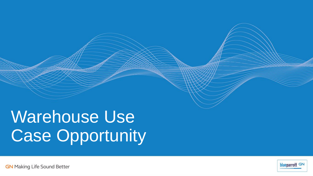# Warehouse Use Case Opportunity

blueparrott GN

**GN** Making Life Sound Better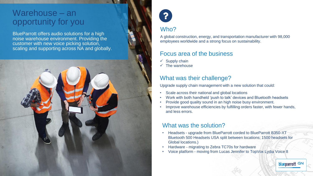## Warehouse – an opportunity for you

BlueParrott offers audio solutions for a high noise warehouse environment. Providing the customer with new voice picking solution, scaling and supporting across NA and globally.





## Who?

A global construction, energy, and transportation manufacturer with 98,000 employees worldwide and a strong focus on sustainability.

### Focus area of the business

- $\checkmark$  Supply chain
- $\checkmark$  The warehouse

## What was their challenge?

Upgrade supply chain management with a new solution that could:

- Scale across their national and global locations
- Work with both handheld 'push to talk' devices and Bluetooth headsets
- Provide good quality sound in an high noise busy environment.
- Improve warehouse efficiencies by fulfilling orders faster, with fewer hands, and less errors.

## What was the solution?

• Headsets - upgrade from BlueParrott corded to BlueParrott B350-XT Bluetooth 500 Headsets USA split between locations; 1500 headsets for Global locations.)

blueparrott GN

- Hardware migrating to Zebra TC70s for hardware
- Voice platform moving from Lucas Jennifer to TopVox Lydia Voice 8